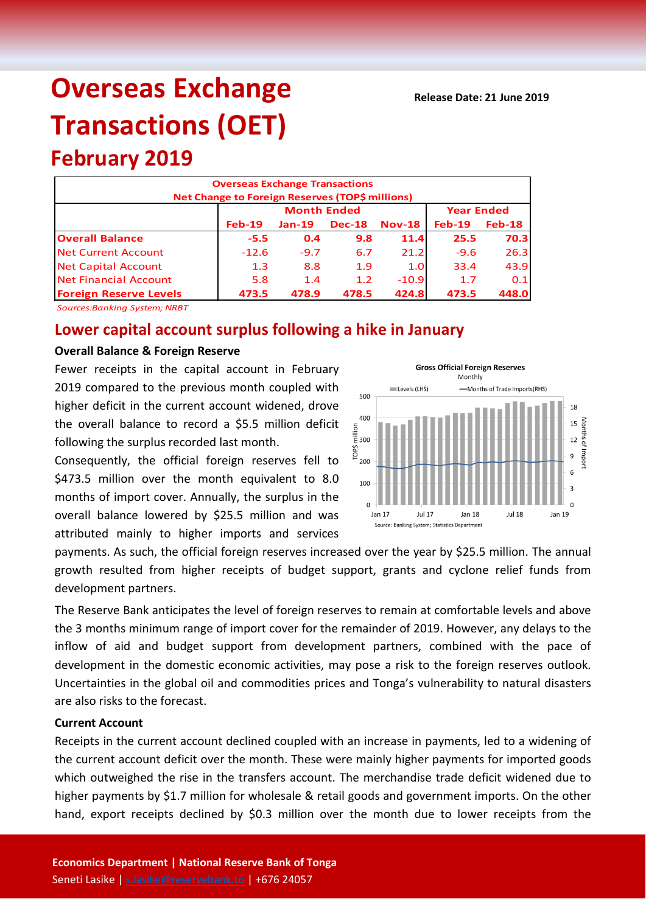# **Overseas Exchange Transactions (OET)**

## **February 2019**

|                               | <b>Overseas Exchange Transactions</b><br>Net Change to Foreign Reserves (TOP\$ millions) |                    |                   |          |          |          |
|-------------------------------|------------------------------------------------------------------------------------------|--------------------|-------------------|----------|----------|----------|
|                               |                                                                                          | <b>Month Ended</b> | <b>Year Ended</b> |          |          |          |
|                               | $Feb-19$                                                                                 | $Jan-19$           | <b>Dec-18</b>     | $Nov-18$ | $Feb-19$ | $Feb-18$ |
| <b>Overall Balance</b>        | $-5.5$                                                                                   | 0.4                | 9.8               | 11.4     | 25.5     | 70.3     |
| Net Current Account           | $-12.6$                                                                                  | $-9.7$             | 6.7               | 21.2     | $-9.6$   | 26.3     |
| <b>Net Capital Account</b>    | 1.3                                                                                      | 8.8                | 1.9               | 1.0      | 33.4     | 43.9     |
| Net Financial Account         | 5.8                                                                                      | 1.4                | 1.2               | $-10.9$  | 1.7      | 0.1      |
| <b>Foreign Reserve Levels</b> | 473.5                                                                                    | 478.9              | 478.5             | 424.8    | 473.5    | 448.0    |

*Sources:Banking System; NRBT*

### **Lower capital account surplus following a hike in January**

#### **Overall Balance & Foreign Reserve**

Fewer receipts in the capital account in February 2019 compared to the previous month coupled with higher deficit in the current account widened, drove the overall balance to record a \$5.5 million deficit following the surplus recorded last month.

Consequently, the official foreign reserves fell to \$473.5 million over the month equivalent to 8.0 months of import cover. Annually, the surplus in the overall balance lowered by \$25.5 million and was attributed mainly to higher imports and services



payments. As such, the official foreign reserves increased over the year by \$25.5 million. The annual growth resulted from higher receipts of budget support, grants and cyclone relief funds from development partners.

The Reserve Bank anticipates the level of foreign reserves to remain at comfortable levels and above the 3 months minimum range of import cover for the remainder of 2019. However, any delays to the inflow of aid and budget support from development partners, combined with the pace of development in the domestic economic activities, may pose a risk to the foreign reserves outlook. Uncertainties in the global oil and commodities prices and Tonga's vulnerability to natural disasters are also risks to the forecast.

#### **Current Account**

Receipts in the current account declined coupled with an increase in payments, led to a widening of the current account deficit over the month. These were mainly higher payments for imported goods which outweighed the rise in the transfers account. The merchandise trade deficit widened due to higher payments by \$1.7 million for wholesale & retail goods and government imports. On the other hand, export receipts declined by \$0.3 million over the month due to lower receipts from the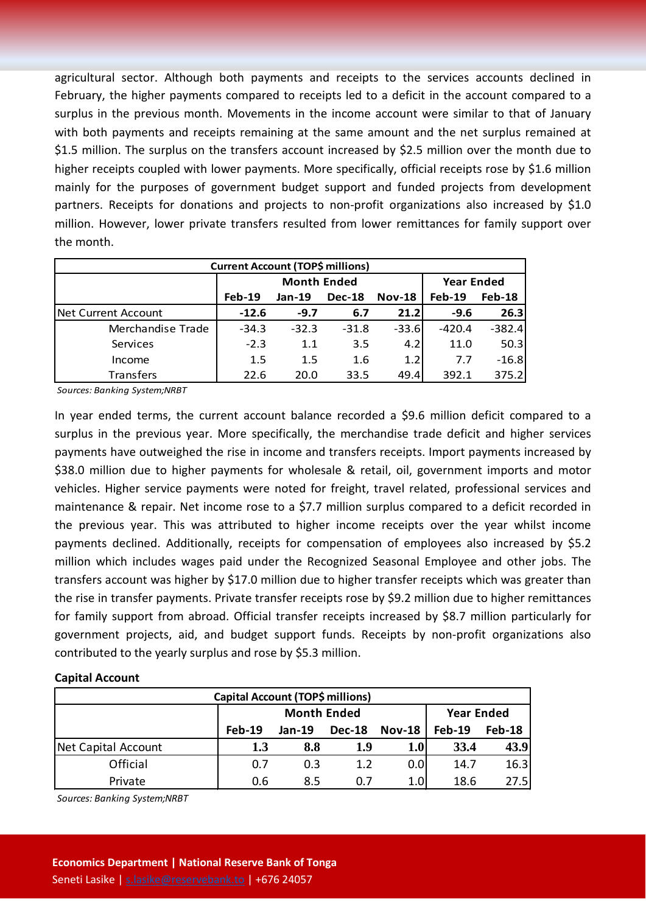agricultural sector. Although both payments and receipts to the services accounts declined in February, the higher payments compared to receipts led to a deficit in the account compared to a surplus in the previous month. Movements in the income account were similar to that of January with both payments and receipts remaining at the same amount and the net surplus remained at \$1.5 million. The surplus on the transfers account increased by \$2.5 million over the month due to higher receipts coupled with lower payments. More specifically, official receipts rose by \$1.6 million mainly for the purposes of government budget support and funded projects from development partners. Receipts for donations and projects to non-profit organizations also increased by \$1.0 million. However, lower private transfers resulted from lower remittances for family support over the month.

| <b>Current Account (TOP\$ millions)</b> |                    |          |               |          |                   |               |  |  |
|-----------------------------------------|--------------------|----------|---------------|----------|-------------------|---------------|--|--|
|                                         | <b>Month Ended</b> |          |               |          | <b>Year Ended</b> |               |  |  |
|                                         | $Feb-19$           | $Jan-19$ | <b>Dec-18</b> | $Nov-18$ | <b>Feb-19</b>     | <b>Feb-18</b> |  |  |
| INet Current Account                    | $-12.6$            | $-9.7$   | 6.7           | 21.2     | $-9.6$            | 26.3          |  |  |
| Merchandise Trade                       | $-34.3$            | $-32.3$  | $-31.8$       | $-33.6$  | $-420.4$          | $-382.4$      |  |  |
| Services                                | $-2.3$             | 1.1      | 3.5           | 4.2      | 11.0              | 50.3          |  |  |
| Income                                  | 1.5                | 1.5      | 1.6           | 1.2      | 7.7               | $-16.8$       |  |  |
| Transfers                               | 22.6               | 20.0     | 33.5          | 49.4     | 392.1             | 375.2         |  |  |

*Sources: Banking System;NRBT*

In year ended terms, the current account balance recorded a \$9.6 million deficit compared to a surplus in the previous year. More specifically, the merchandise trade deficit and higher services payments have outweighed the rise in income and transfers receipts. Import payments increased by \$38.0 million due to higher payments for wholesale & retail, oil, government imports and motor vehicles. Higher service payments were noted for freight, travel related, professional services and maintenance & repair. Net income rose to a \$7.7 million surplus compared to a deficit recorded in the previous year. This was attributed to higher income receipts over the year whilst income payments declined. Additionally, receipts for compensation of employees also increased by \$5.2 million which includes wages paid under the Recognized Seasonal Employee and other jobs. The transfers account was higher by \$17.0 million due to higher transfer receipts which was greater than the rise in transfer payments. Private transfer receipts rose by \$9.2 million due to higher remittances for family support from abroad. Official transfer receipts increased by \$8.7 million particularly for government projects, aid, and budget support funds. Receipts by non-profit organizations also contributed to the yearly surplus and rose by \$5.3 million.

#### **Capital Account**

| Capital Account (TOP\$ millions) |          |                    |                   |               |               |        |  |  |
|----------------------------------|----------|--------------------|-------------------|---------------|---------------|--------|--|--|
|                                  |          | <b>Month Ended</b> | <b>Year Ended</b> |               |               |        |  |  |
|                                  | $Feb-19$ | Jan-19             | <b>Dec-18</b>     | <b>Nov-18</b> | <b>Feb-19</b> | Feb-18 |  |  |
| <b>Net Capital Account</b>       | 1.3      | 8.8                | 1.9               | 1.0           | 33.4          | 43.9   |  |  |
| Official                         | 0.7      | 0.3                | 1.2               | 0.0           | 14.7          | 16.3   |  |  |
| Private                          | 0.6      | 8.5                | 0.7               | 1.0           | 18.6          | 27.5   |  |  |

*Sources: Banking System;NRBT*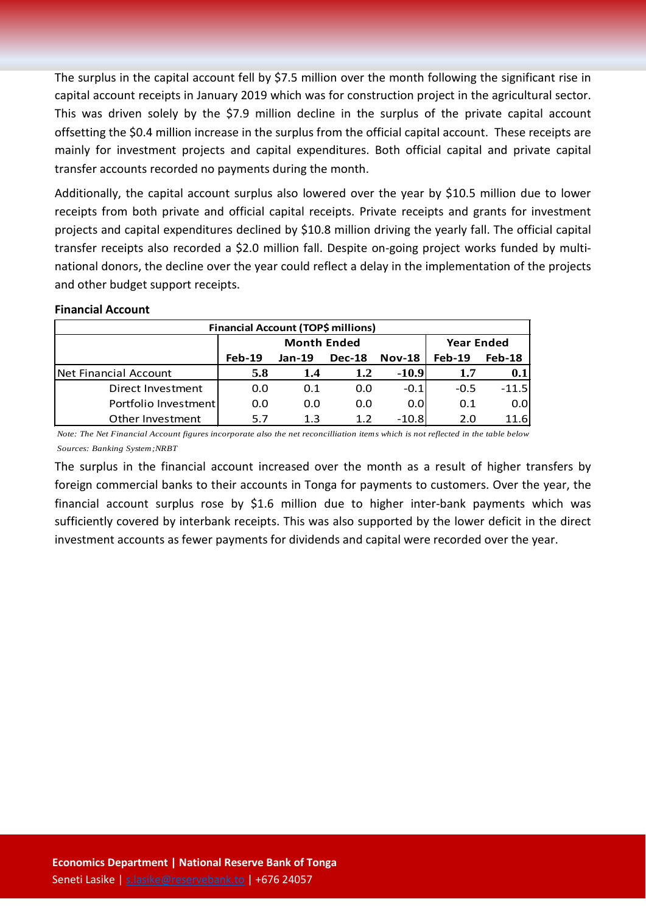The surplus in the capital account fell by \$7.5 million over the month following the significant rise in capital account receipts in January 2019 which was for construction project in the agricultural sector. This was driven solely by the \$7.9 million decline in the surplus of the private capital account offsetting the \$0.4 million increase in the surplus from the official capital account. These receipts are mainly for investment projects and capital expenditures. Both official capital and private capital transfer accounts recorded no payments during the month.

Additionally, the capital account surplus also lowered over the year by \$10.5 million due to lower receipts from both private and official capital receipts. Private receipts and grants for investment projects and capital expenditures declined by \$10.8 million driving the yearly fall. The official capital transfer receipts also recorded a \$2.0 million fall. Despite on-going project works funded by multinational donors, the decline over the year could reflect a delay in the implementation of the projects and other budget support receipts.

#### **Financial Account**

| Financial Account (TOP\$ millions) |          |                    |                   |                  |          |         |  |  |
|------------------------------------|----------|--------------------|-------------------|------------------|----------|---------|--|--|
|                                    |          | <b>Month Ended</b> | <b>Year Ended</b> |                  |          |         |  |  |
|                                    | $Feb-19$ | $Jan-19$           | <b>Dec-18</b>     | <b>Nov-18</b>    | $Feb-19$ | Feb-18  |  |  |
| <b>Net Financial Account</b>       | 5.8      | 1.4                | 1.2               | $-10.9$          | 1.7      | 0.1     |  |  |
| Direct Investment                  | 0.0      | 0.1                | 0.0               | $-0.1$           | $-0.5$   | $-11.5$ |  |  |
| Portfolio Investment               | 0.0      | 0.0                | 0.0               | 0.0 <sub>l</sub> | 0.1      | 0.0     |  |  |
| Other Investment                   | 5.7      | 1.3                | 1.2               | $-10.8$          | 2.0      | 11.6    |  |  |

*Note: The Net Financial Account figures incorporate also the net reconcilliation items which is not reflected in the table below Sources: Banking System;NRBT*

The surplus in the financial account increased over the month as a result of higher transfers by foreign commercial banks to their accounts in Tonga for payments to customers. Over the year, the financial account surplus rose by \$1.6 million due to higher inter-bank payments which was sufficiently covered by interbank receipts. This was also supported by the lower deficit in the direct investment accounts as fewer payments for dividends and capital were recorded over the year.